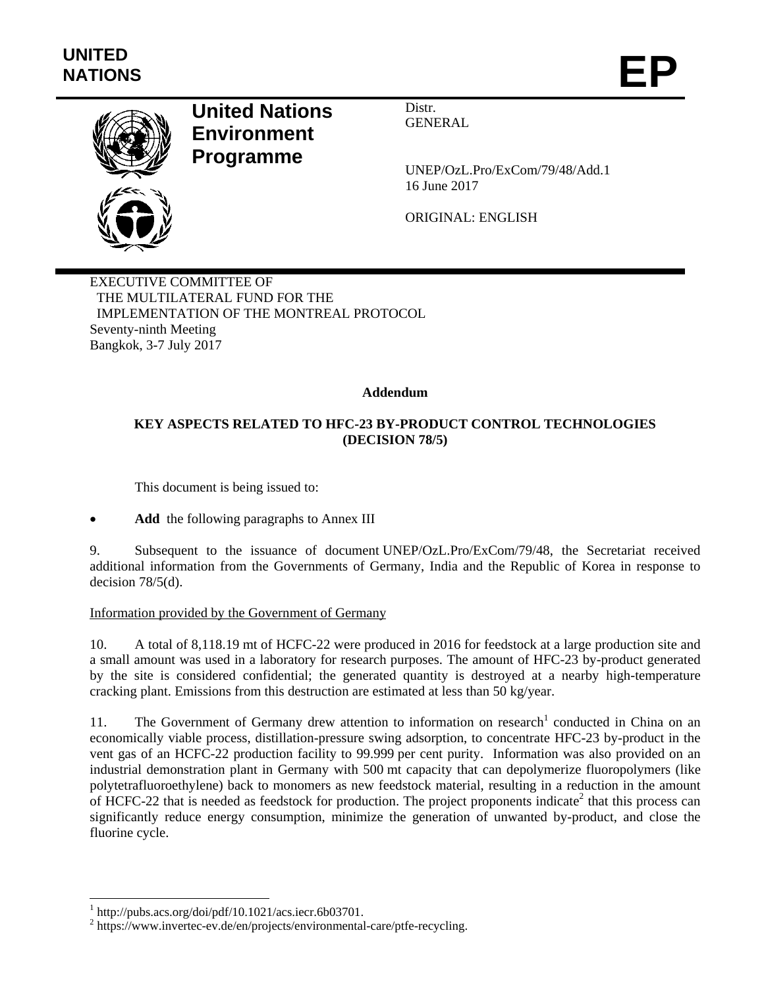

# **United Nations Environment Programme**

Distr. GENERAL

UNEP/OzL.Pro/ExCom/79/48/Add.1 16 June 2017

ORIGINAL: ENGLISH

EXECUTIVE COMMITTEE OF THE MULTILATERAL FUND FOR THE IMPLEMENTATION OF THE MONTREAL PROTOCOL Seventy-ninth Meeting Bangkok, 3-7 July 2017

## **Addendum**

# **KEY ASPECTS RELATED TO HFC-23 BY-PRODUCT CONTROL TECHNOLOGIES (DECISION 78/5)**

This document is being issued to:

**Add** the following paragraphs to Annex III

9. Subsequent to the issuance of document UNEP/OzL.Pro/ExCom/79/48, the Secretariat received additional information from the Governments of Germany, India and the Republic of Korea in response to decision 78/5(d).

#### Information provided by the Government of Germany

10. A total of 8,118.19 mt of HCFC-22 were produced in 2016 for feedstock at a large production site and a small amount was used in a laboratory for research purposes. The amount of HFC-23 by-product generated by the site is considered confidential; the generated quantity is destroyed at a nearby high-temperature cracking plant. Emissions from this destruction are estimated at less than 50 kg/year.

11. The Government of Germany drew attention to information on research<sup>1</sup> conducted in China on an economically viable process, distillation-pressure swing adsorption, to concentrate HFC-23 by-product in the vent gas of an HCFC-22 production facility to 99.999 per cent purity. Information was also provided on an industrial demonstration plant in Germany with 500 mt capacity that can depolymerize fluoropolymers (like polytetrafluoroethylene) back to monomers as new feedstock material, resulting in a reduction in the amount of HCFC-22 that is needed as feedstock for production. The project proponents indicate<sup>2</sup> that this process can significantly reduce energy consumption, minimize the generation of unwanted by-product, and close the fluorine cycle.

1

<sup>1</sup> http://pubs.acs.org/doi/pdf/10.1021/acs.iecr.6b03701.

<sup>&</sup>lt;sup>2</sup> https://www.invertec-ev.de/en/projects/environmental-care/ptfe-recycling.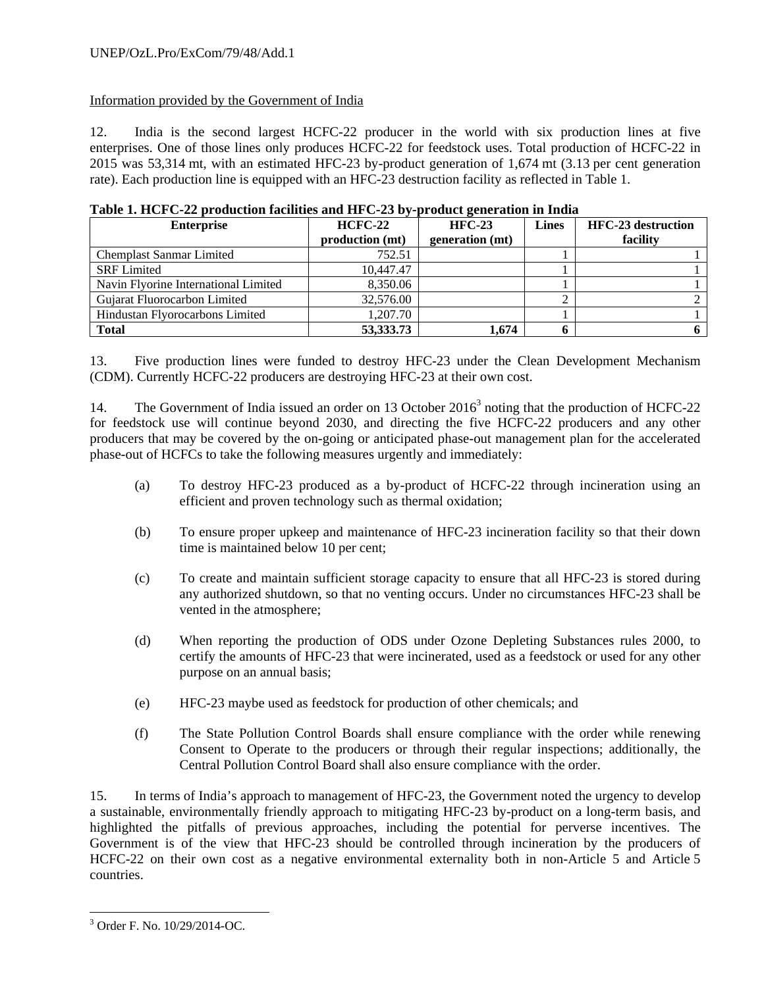#### UNEP/OzL.Pro/ExCom/79/48/Add.1

## Information provided by the Government of India

12. India is the second largest HCFC-22 producer in the world with six production lines at five enterprises. One of those lines only produces HCFC-22 for feedstock uses. Total production of HCFC-22 in 2015 was 53,314 mt, with an estimated HFC-23 by-product generation of 1,674 mt (3.13 per cent generation rate). Each production line is equipped with an HFC-23 destruction facility as reflected in Table 1.

| <b>Enterprise</b>                    | $HCFC-22$<br>production (mt) | $HEC-23$<br>generation (mt) | <b>Lines</b> | <b>HFC-23</b> destruction<br>facility |
|--------------------------------------|------------------------------|-----------------------------|--------------|---------------------------------------|
| <b>Chemplast Sanmar Limited</b>      | 752.51                       |                             |              |                                       |
| <b>SRF</b> Limited                   | 10,447.47                    |                             |              |                                       |
| Navin Flyorine International Limited | 8,350.06                     |                             |              |                                       |
| Gujarat Fluorocarbon Limited         | 32,576.00                    |                             |              |                                       |
| Hindustan Flyorocarbons Limited      | 1.207.70                     |                             |              |                                       |
| <b>Total</b>                         | 53,333.73                    | 1.674                       |              |                                       |

| Table 1. HCFC-22 production facilities and HFC-23 by-product generation in India |  |
|----------------------------------------------------------------------------------|--|

13. Five production lines were funded to destroy HFC-23 under the Clean Development Mechanism (CDM). Currently HCFC-22 producers are destroying HFC-23 at their own cost.

14. The Government of India issued an order on 13 October 2016<sup>3</sup> noting that the production of HCFC-22 for feedstock use will continue beyond 2030, and directing the five HCFC-22 producers and any other producers that may be covered by the on-going or anticipated phase-out management plan for the accelerated phase-out of HCFCs to take the following measures urgently and immediately:

- (a) To destroy HFC-23 produced as a by-product of HCFC-22 through incineration using an efficient and proven technology such as thermal oxidation;
- (b) To ensure proper upkeep and maintenance of HFC-23 incineration facility so that their down time is maintained below 10 per cent;
- (c) To create and maintain sufficient storage capacity to ensure that all HFC-23 is stored during any authorized shutdown, so that no venting occurs. Under no circumstances HFC-23 shall be vented in the atmosphere;
- (d) When reporting the production of ODS under Ozone Depleting Substances rules 2000, to certify the amounts of HFC-23 that were incinerated, used as a feedstock or used for any other purpose on an annual basis;
- (e) HFC-23 maybe used as feedstock for production of other chemicals; and
- (f) The State Pollution Control Boards shall ensure compliance with the order while renewing Consent to Operate to the producers or through their regular inspections; additionally, the Central Pollution Control Board shall also ensure compliance with the order.

15. In terms of India's approach to management of HFC-23, the Government noted the urgency to develop a sustainable, environmentally friendly approach to mitigating HFC-23 by-product on a long-term basis, and highlighted the pitfalls of previous approaches, including the potential for perverse incentives. The Government is of the view that HFC-23 should be controlled through incineration by the producers of HCFC-22 on their own cost as a negative environmental externality both in non-Article 5 and Article 5 countries.

 3 Order F. No. 10/29/2014-OC.